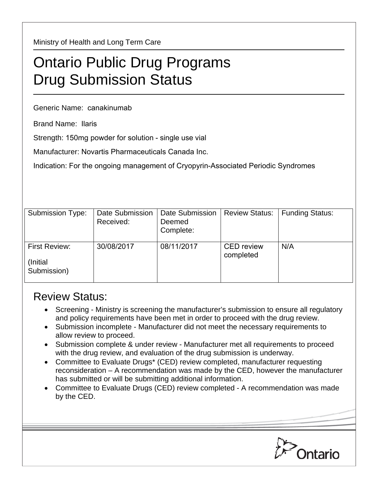Ministry of Health and Long Term Care

## Ontario Public Drug Programs Drug Submission Status

Generic Name: canakinumab

Brand Name: Ilaris

Strength: 150mg powder for solution - single use vial

Manufacturer: Novartis Pharmaceuticals Canada Inc.

Indication: For the ongoing management of Cryopyrin-Associated Periodic Syndromes

| Submission Type:                                 | <b>Date Submission</b><br>Received: | Date Submission<br>Deemed<br>Complete: | <b>Review Status:</b>          | <b>Funding Status:</b> |
|--------------------------------------------------|-------------------------------------|----------------------------------------|--------------------------------|------------------------|
| <b>First Review:</b><br>(Initial)<br>Submission) | 30/08/2017                          | 08/11/2017                             | <b>CED</b> review<br>completed | N/A                    |

## Review Status:

- Screening Ministry is screening the manufacturer's submission to ensure all regulatory and policy requirements have been met in order to proceed with the drug review.
- Submission incomplete Manufacturer did not meet the necessary requirements to allow review to proceed.
- Submission complete & under review Manufacturer met all requirements to proceed with the drug review, and evaluation of the drug submission is underway.
- Committee to Evaluate Drugs\* (CED) review completed, manufacturer requesting reconsideration – A recommendation was made by the CED, however the manufacturer has submitted or will be submitting additional information.
- Committee to Evaluate Drugs (CED) review completed A recommendation was made by the CED.